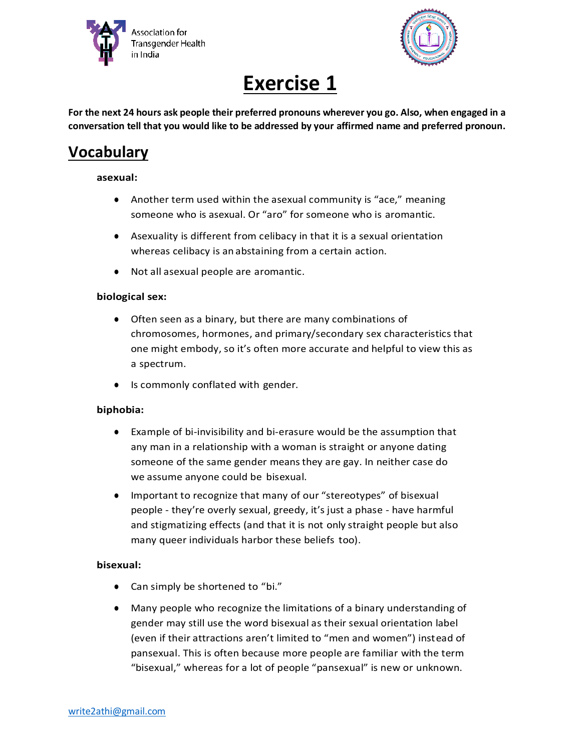



# **Exercise 1**

**For the next 24 hours ask people their preferred pronouns wherever you go. Also, when engaged in a conversation tell that you would like to be addressed by your affirmed name and preferred pronoun.**

# **Vocabulary**

#### **asexual:**

- Another term used within the asexual community is "ace," meaning someone who is asexual. Or "aro" for someone who is aromantic.
- Asexuality is different from celibacy in that it is a sexual orientation whereas celibacy is an abstaining from a certain action.
- Not all asexual people are aromantic.

## **biological sex:**

- Often seen as a binary, but there are many combinations of chromosomes, hormones, and primary/secondary sex characteristics that one might embody, so it's often more accurate and helpful to view this as a spectrum.
- Is commonly conflated with gender.

#### **biphobia:**

- Example of bi-invisibility and bi-erasure would be the assumption that any man in a relationship with a woman is straight or anyone dating someone of the same gender means they are gay. In neither case do we assume anyone could be bisexual.
- Important to recognize that many of our "stereotypes" of bisexual people - they're overly sexual, greedy, it's just a phase - have harmful and stigmatizing effects (and that it is not only straight people but also many queer individuals harbor these beliefs too).

#### **bisexual:**

- Can simply be shortened to "bi."
- Many people who recognize the limitations of a binary understanding of gender may still use the word bisexual as their sexual orientation label (even if their attractions aren't limited to "men and women") instead of pansexual. This is often because more people are familiar with the term "bisexual," whereas for a lot of people "pansexual" is new or unknown.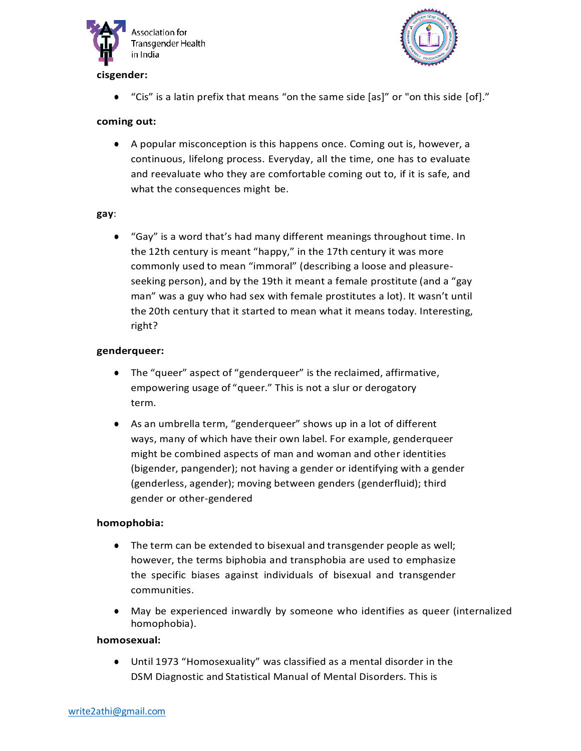



# **cisgender:**

● "Cis" is a latin prefix that means "on the same side [as]" or "on this side [of]."

# **coming out:**

● A popular misconception is this happens once. Coming out is, however, a continuous, lifelong process. Everyday, all the time, one has to evaluate and reevaluate who they are comfortable coming out to, if it is safe, and what the consequences might be.

#### **gay**:

● "Gay" is a word that's had many different meanings throughout time. In the 12th century is meant "happy," in the 17th century it was more commonly used to mean "immoral" (describing a loose and pleasureseeking person), and by the 19th it meant a female prostitute (and a "gay man" was a guy who had sex with female prostitutes a lot). It wasn't until the 20th century that it started to mean what it means today. Interesting, right?

#### **genderqueer:**

- The "queer" aspect of "genderqueer" is the reclaimed, affirmative, empowering usage of "queer." This is not a slur or derogatory term.
- As an umbrella term, "genderqueer" shows up in a lot of different ways, many of which have their own label. For example, genderqueer might be combined aspects of man and woman and other identities (bigender, pangender); not having a gender or identifying with a gender (genderless, agender); moving between genders (genderfluid); third gender or other-gendered

#### **homophobia:**

- The term can be extended to bisexual and transgender people as well; however, the terms biphobia and transphobia are used to emphasize the specific biases against individuals of bisexual and transgender communities.
- May be experienced inwardly by someone who identifies as queer (internalized homophobia).

#### **homosexual:**

● Until 1973 "Homosexuality" was classified as a mental disorder in the DSM Diagnostic and Statistical Manual of Mental Disorders. This is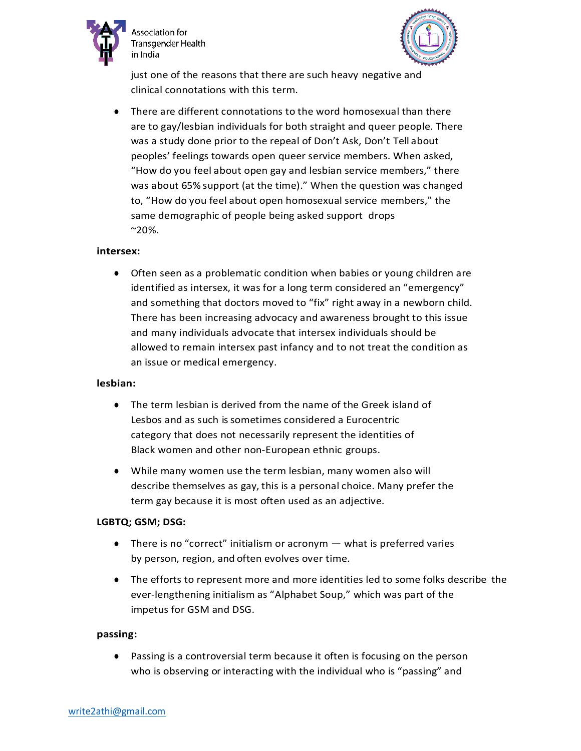

ssociation for Transgender Health in India



just one of the reasons that there are such heavy negative and clinical connotations with this term.

There are different connotations to the word homosexual than there are to gay/lesbian individuals for both straight and queer people. There was a study done prior to the repeal of Don't Ask, Don't Tell about peoples' feelings towards open queer service members. When asked, "How do you feel about open gay and lesbian service members," there was about 65% support (at the time)." When the question was changed to, "How do you feel about open homosexual service members," the same demographic of people being asked support drops  $^{\sim}20\%$ .

#### **intersex:**

● Often seen as a problematic condition when babies or young children are identified as intersex, it was for a long term considered an "emergency" and something that doctors moved to "fix" right away in a newborn child. There has been increasing advocacy and awareness brought to this issue and many individuals advocate that intersex individuals should be allowed to remain intersex past infancy and to not treat the condition as an issue or medical emergency.

#### **lesbian:**

- The term lesbian is derived from the name of the Greek island of Lesbos and as such is sometimes considered a Eurocentric category that does not necessarily represent the identities of Black women and other non-European ethnic groups.
- While many women use the term lesbian, many women also will describe themselves as gay, this is a personal choice. Many prefer the term gay because it is most often used as an adjective.

#### **LGBTQ; GSM; DSG:**

- **•** There is no "correct" initialism or acronym  $-$  what is preferred varies by person, region, and often evolves over time.
- The efforts to represent more and more identities led to some folks describe the ever-lengthening initialism as "Alphabet Soup," which was part of the impetus for GSM and DSG.

#### **passing:**

● Passing is a controversial term because it often is focusing on the person who is observing or interacting with the individual who is "passing" and